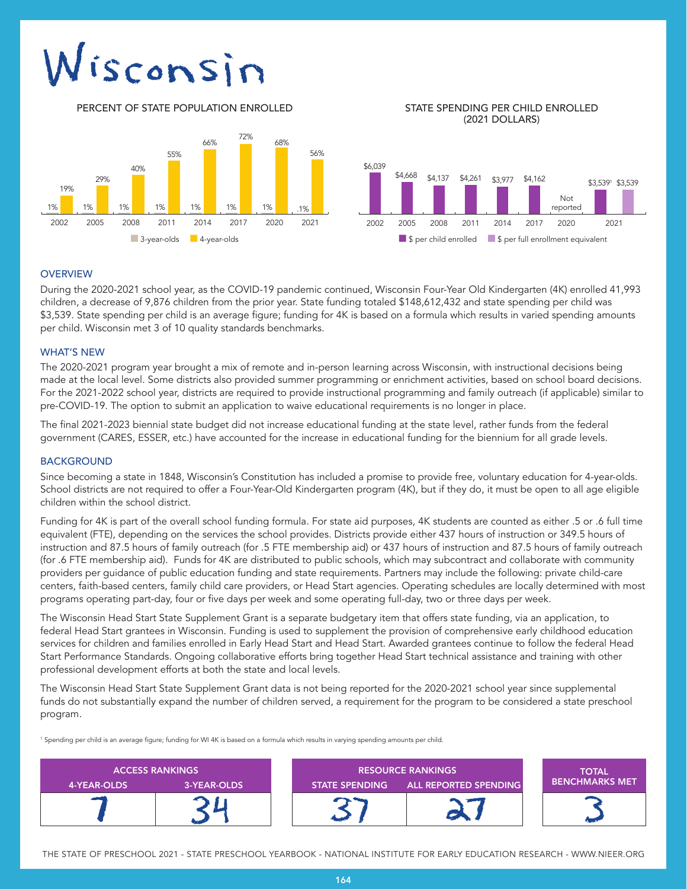# Visconsin

PERCENT OF STATE POPULATION ENROLLED STATE SPENDING PER CHILD ENROLLED

## (2021 DOLLARS)



## **OVERVIEW**

During the 2020-2021 school year, as the COVID-19 pandemic continued, Wisconsin Four-Year Old Kindergarten (4K) enrolled 41,993 children, a decrease of 9,876 children from the prior year. State funding totaled \$148,612,432 and state spending per child was \$3,539. State spending per child is an average figure; funding for 4K is based on a formula which results in varied spending amounts per child. Wisconsin met 3 of 10 quality standards benchmarks.

## WHAT'S NEW

The 2020-2021 program year brought a mix of remote and in-person learning across Wisconsin, with instructional decisions being made at the local level. Some districts also provided summer programming or enrichment activities, based on school board decisions. For the 2021-2022 school year, districts are required to provide instructional programming and family outreach (if applicable) similar to pre-COVID-19. The option to submit an application to waive educational requirements is no longer in place.

The final 2021-2023 biennial state budget did not increase educational funding at the state level, rather funds from the federal government (CARES, ESSER, etc.) have accounted for the increase in educational funding for the biennium for all grade levels.

#### BACKGROUND

Since becoming a state in 1848, Wisconsin's Constitution has included a promise to provide free, voluntary education for 4-year-olds. School districts are not required to offer a Four-Year-Old Kindergarten program (4K), but if they do, it must be open to all age eligible children within the school district.

Funding for 4K is part of the overall school funding formula. For state aid purposes, 4K students are counted as either .5 or .6 full time equivalent (FTE), depending on the services the school provides. Districts provide either 437 hours of instruction or 349.5 hours of instruction and 87.5 hours of family outreach (for .5 FTE membership aid) or 437 hours of instruction and 87.5 hours of family outreach (for .6 FTE membership aid). Funds for 4K are distributed to public schools, which may subcontract and collaborate with community providers per guidance of public education funding and state requirements. Partners may include the following: private child-care centers, faith-based centers, family child care providers, or Head Start agencies. Operating schedules are locally determined with most programs operating part-day, four or five days per week and some operating full-day, two or three days per week.

The Wisconsin Head Start State Supplement Grant is a separate budgetary item that offers state funding, via an application, to federal Head Start grantees in Wisconsin. Funding is used to supplement the provision of comprehensive early childhood education services for children and families enrolled in Early Head Start and Head Start. Awarded grantees continue to follow the federal Head Start Performance Standards. Ongoing collaborative efforts bring together Head Start technical assistance and training with other professional development efforts at both the state and local levels.

The Wisconsin Head Start State Supplement Grant data is not being reported for the 2020-2021 school year since supplemental funds do not substantially expand the number of children served, a requirement for the program to be considered a state preschool program.

<sup>1</sup> Spending per child is an average figure; funding for WI 4K is based on a formula which results in varying spending amounts per child.

| <b>ACCESS RANKINGS</b> |             | <b>RESOURCE RANKINGS</b> |                              | <b>TOTAL</b>           |
|------------------------|-------------|--------------------------|------------------------------|------------------------|
| 4-YEAR-OLDS            | 3-YEAR-OLDS | <b>STATE SPENDING</b>    | <b>ALL REPORTED SPENDING</b> | <b>LBENCHMARKS MET</b> |
|                        |             |                          |                              |                        |

THE STATE OF PRESCHOOL 2021 - STATE PRESCHOOL YEARBOOK - NATIONAL INSTITUTE FOR EARLY EDUCATION RESEARCH - WWW.NIEER.ORG